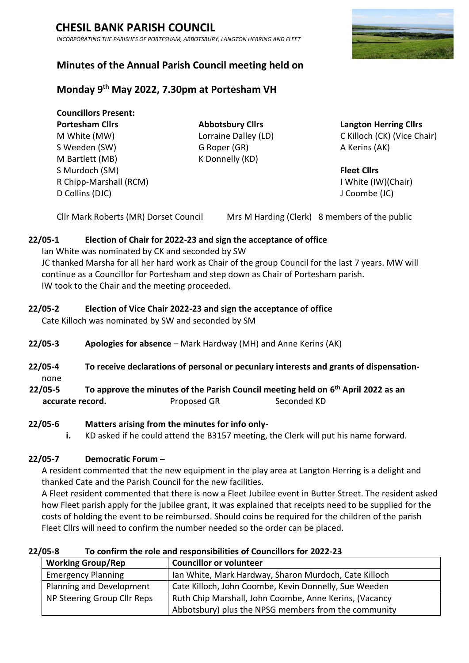*INCORPORATING THE PARISHES OF PORTESHAM, ABBOTSBURY, LANGTON HERRING AND FLEET*

# **Minutes of the Annual Parish Council meeting held on**

# **Monday 9 th May 2022, 7.30pm at Portesham VH**

**Councillors Present: Portesham Cllrs Abbotsbury Cllrs Langton Herring Cllrs** S Weeden (SW) G Roper (GR) A Kerins (AK) M Bartlett (MB) K Donnelly (KD) S Murdoch (SM) **Fleet Cllrs** R Chipp-Marshall (RCM) **I White (IW)(Chair) I White (IW)(Chair**) D Collins (DJC) J Coombe (JC)

M White (MW) Lorraine Dalley (LD) C Killoch (CK) (Vice Chair)

Cllr Mark Roberts (MR) Dorset Council Mrs M Harding (Clerk) 8 members of the public

## **22/05-1 Election of Chair for 2022-23 and sign the acceptance of office**

Ian White was nominated by CK and seconded by SW JC thanked Marsha for all her hard work as Chair of the group Council for the last 7 years. MW will continue as a Councillor for Portesham and step down as Chair of Portesham parish. IW took to the Chair and the meeting proceeded.

## **22/05-2 Election of Vice Chair 2022-23 and sign the acceptance of office**

Cate Killoch was nominated by SW and seconded by SM

- **22/05-3 Apologies for absence** Mark Hardway (MH) and Anne Kerins (AK)
- **22/05-4 To receive declarations of personal or pecuniary interests and grants of dispensation**none
- **22/05-5 To approve the minutes of the Parish Council meeting held on 6 th April 2022 as an accurate record.** Proposed GR Seconded KD

### **22/05-6 Matters arising from the minutes for info only-**

**i.** KD asked if he could attend the B3157 meeting, the Clerk will put his name forward.

### **22/05-7 Democratic Forum –**

A resident commented that the new equipment in the play area at Langton Herring is a delight and thanked Cate and the Parish Council for the new facilities.

A Fleet resident commented that there is now a Fleet Jubilee event in Butter Street. The resident asked how Fleet parish apply for the jubilee grant, it was explained that receipts need to be supplied for the costs of holding the event to be reimbursed. Should coins be required for the children of the parish Fleet Cllrs will need to confirm the number needed so the order can be placed.

**22/05-8 To confirm the role and responsibilities of Councillors for 2022-23**

| <b>Working Group/Rep</b>    | <b>Councillor or volunteer</b>                         |
|-----------------------------|--------------------------------------------------------|
| <b>Emergency Planning</b>   | Ian White, Mark Hardway, Sharon Murdoch, Cate Killoch  |
| Planning and Development    | Cate Killoch, John Coombe, Kevin Donnelly, Sue Weeden  |
| NP Steering Group Cllr Reps | Ruth Chip Marshall, John Coombe, Anne Kerins, (Vacancy |
|                             | Abbotsbury) plus the NPSG members from the community   |

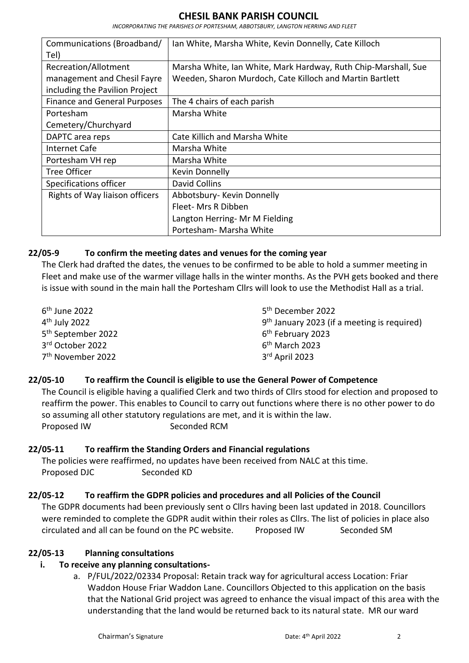*INCORPORATING THE PARISHES OF PORTESHAM, ABBOTSBURY, LANGTON HERRING AND FLEET*

| Communications (Broadband/          | Ian White, Marsha White, Kevin Donnelly, Cate Killoch          |
|-------------------------------------|----------------------------------------------------------------|
| Tel)                                |                                                                |
| Recreation/Allotment                | Marsha White, Ian White, Mark Hardway, Ruth Chip-Marshall, Sue |
| management and Chesil Fayre         | Weeden, Sharon Murdoch, Cate Killoch and Martin Bartlett       |
| including the Pavilion Project      |                                                                |
| <b>Finance and General Purposes</b> | The 4 chairs of each parish                                    |
| Portesham                           | Marsha White                                                   |
| Cemetery/Churchyard                 |                                                                |
| DAPTC area reps                     | Cate Killich and Marsha White                                  |
| Internet Cafe                       | Marsha White                                                   |
| Portesham VH rep                    | Marsha White                                                   |
| Tree Officer                        | Kevin Donnelly                                                 |
| Specifications officer              | David Collins                                                  |
| Rights of Way liaison officers      | Abbotsbury- Kevin Donnelly                                     |
|                                     | Fleet- Mrs R Dibben                                            |
|                                     | Langton Herring- Mr M Fielding                                 |
|                                     | Portesham- Marsha White                                        |

### **22/05-9 To confirm the meeting dates and venues for the coming year**

The Clerk had drafted the dates, the venues to be confirmed to be able to hold a summer meeting in Fleet and make use of the warmer village halls in the winter months. As the PVH gets booked and there is issue with sound in the main hall the Portesham Cllrs will look to use the Methodist Hall as a trial.

 th June 2022 th July 2022 th September 2022 rd October 2022 th November 2022

5<sup>th</sup> December 2022 9<sup>th</sup> January 2023 (if a meeting is required) 6 th February 2023 6 th March 2023 3 rd April 2023

## **22/05-10 To reaffirm the Council is eligible to use the General Power of Competence**

The Council is eligible having a qualified Clerk and two thirds of Cllrs stood for election and proposed to reaffirm the power. This enables to Council to carry out functions where there is no other power to do so assuming all other statutory regulations are met, and it is within the law. Proposed IW Seconded RCM

## **22/05-11 To reaffirm the Standing Orders and Financial regulations**

The policies were reaffirmed, no updates have been received from NALC at this time. Proposed DJC Seconded KD

## **22/05-12 To reaffirm the GDPR policies and procedures and all Policies of the Council**

The GDPR documents had been previously sent o Cllrs having been last updated in 2018. Councillors were reminded to complete the GDPR audit within their roles as Cllrs. The list of policies in place also circulated and all can be found on the PC website. Proposed IW Seconded SM

### **22/05-13 Planning consultations**

# **i. To receive any planning consultations-**

a. P/FUL/2022/02334 Proposal: Retain track way for agricultural access Location: Friar Waddon House Friar Waddon Lane. Councillors Objected to this application on the basis that the National Grid project was agreed to enhance the visual impact of this area with the understanding that the land would be returned back to its natural state. MR our ward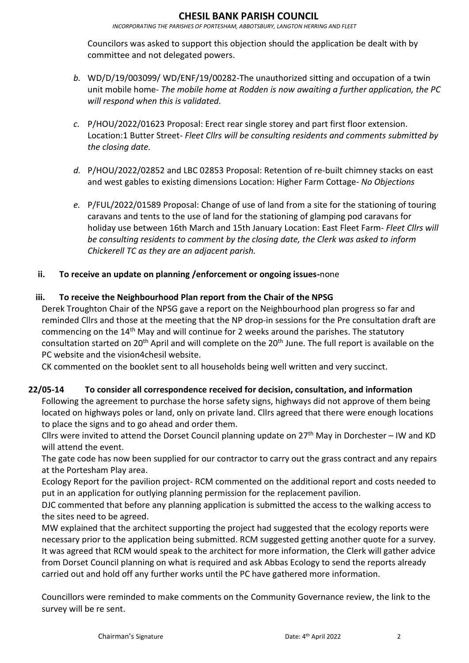*INCORPORATING THE PARISHES OF PORTESHAM, ABBOTSBURY, LANGTON HERRING AND FLEET*

Councilors was asked to support this objection should the application be dealt with by committee and not delegated powers.

- *b.* WD/D/19/003099/ WD/ENF/19/00282-The unauthorized sitting and occupation of a twin unit mobile home- *The mobile home at Rodden is now awaiting a further application, the PC will respond when this is validated.*
- *c.* P/HOU/2022/01623 Proposal: Erect rear single storey and part first floor extension. Location:1 Butter Street- *Fleet Cllrs will be consulting residents and comments submitted by the closing date.*
- *d.* P/HOU/2022/02852 and LBC 02853 Proposal: Retention of re-built chimney stacks on east and west gables to existing dimensions Location: Higher Farm Cottage- *No Objections*
- *e.* P/FUL/2022/01589 Proposal: Change of use of land from a site for the stationing of touring caravans and tents to the use of land for the stationing of glamping pod caravans for holiday use between 16th March and 15th January Location: East Fleet Farm- *Fleet Cllrs will be consulting residents to comment by the closing date, the Clerk was asked to inform Chickerell TC as they are an adjacent parish.*

## **ii. To receive an update on planning /enforcement or ongoing issues-**none

## **iii. To receive the Neighbourhood Plan report from the Chair of the NPSG**

Derek Troughton Chair of the NPSG gave a report on the Neighbourhood plan progress so far and reminded Cllrs and those at the meeting that the NP drop-in sessions for the Pre consultation draft are commencing on the 14th May and will continue for 2 weeks around the parishes. The statutory consultation started on 20<sup>th</sup> April and will complete on the 20<sup>th</sup> June. The full report is available on the PC website and the vision4chesil website.

CK commented on the booklet sent to all households being well written and very succinct.

### **22/05-14 To consider all correspondence received for decision, consultation, and information**

Following the agreement to purchase the horse safety signs, highways did not approve of them being located on highways poles or land, only on private land. Cllrs agreed that there were enough locations to place the signs and to go ahead and order them.

Cllrs were invited to attend the Dorset Council planning update on  $27<sup>th</sup>$  May in Dorchester – IW and KD will attend the event.

The gate code has now been supplied for our contractor to carry out the grass contract and any repairs at the Portesham Play area.

Ecology Report for the pavilion project- RCM commented on the additional report and costs needed to put in an application for outlying planning permission for the replacement pavilion.

DJC commented that before any planning application is submitted the access to the walking access to the sites need to be agreed.

MW explained that the architect supporting the project had suggested that the ecology reports were necessary prior to the application being submitted. RCM suggested getting another quote for a survey. It was agreed that RCM would speak to the architect for more information, the Clerk will gather advice from Dorset Council planning on what is required and ask Abbas Ecology to send the reports already carried out and hold off any further works until the PC have gathered more information.

Councillors were reminded to make comments on the Community Governance review, the link to the survey will be re sent.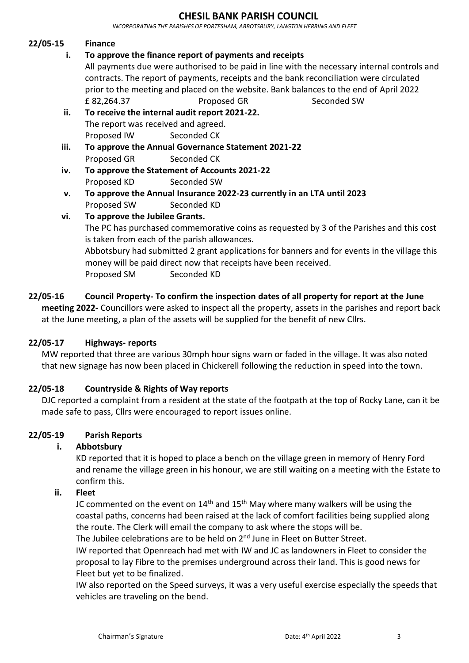*INCORPORATING THE PARISHES OF PORTESHAM, ABBOTSBURY, LANGTON HERRING AND FLEET*

#### **22/05-15 Finance**

**i. To approve the finance report of payments and receipts**

All payments due were authorised to be paid in line with the necessary internal controls and contracts. The report of payments, receipts and the bank reconciliation were circulated prior to the meeting and placed on the website. Bank balances to the end of April 2022 £ 82,264.37 Proposed GR Seconded SW

- **ii. To receive the internal audit report 2021-22.** The report was received and agreed. Proposed IW Seconded CK
- **iii. To approve the Annual Governance Statement 2021-22** Proposed GR Seconded CK
- **iv. To approve the Statement of Accounts 2021-22** Proposed KD Seconded SW
- **v. To approve the Annual Insurance 2022-23 currently in an LTA until 2023** Proposed SW Seconded KD

#### **vi. To approve the Jubilee Grants.**

The PC has purchased commemorative coins as requested by 3 of the Parishes and this cost is taken from each of the parish allowances.

Abbotsbury had submitted 2 grant applications for banners and for events in the village this money will be paid direct now that receipts have been received. Proposed SM Seconded KD

**22/05-16 Council Property- To confirm the inspection dates of all property for report at the June meeting 2022-** Councillors were asked to inspect all the property, assets in the parishes and report back at the June meeting, a plan of the assets will be supplied for the benefit of new Cllrs.

### **22/05-17 Highways- reports**

MW reported that three are various 30mph hour signs warn or faded in the village. It was also noted that new signage has now been placed in Chickerell following the reduction in speed into the town.

### **22/05-18 Countryside & Rights of Way reports**

DJC reported a complaint from a resident at the state of the footpath at the top of Rocky Lane, can it be made safe to pass, Cllrs were encouraged to report issues online.

#### **22/05-19 Parish Reports**

### **i. Abbotsbury**

KD reported that it is hoped to place a bench on the village green in memory of Henry Ford and rename the village green in his honour, we are still waiting on a meeting with the Estate to confirm this.

#### **ii. Fleet**

JC commented on the event on  $14<sup>th</sup>$  and  $15<sup>th</sup>$  May where many walkers will be using the coastal paths, concerns had been raised at the lack of comfort facilities being supplied along the route. The Clerk will email the company to ask where the stops will be.

The Jubilee celebrations are to be held on 2<sup>nd</sup> June in Fleet on Butter Street. IW reported that Openreach had met with IW and JC as landowners in Fleet to consider the proposal to lay Fibre to the premises underground across their land. This is good news for Fleet but yet to be finalized.

IW also reported on the Speed surveys, it was a very useful exercise especially the speeds that vehicles are traveling on the bend.